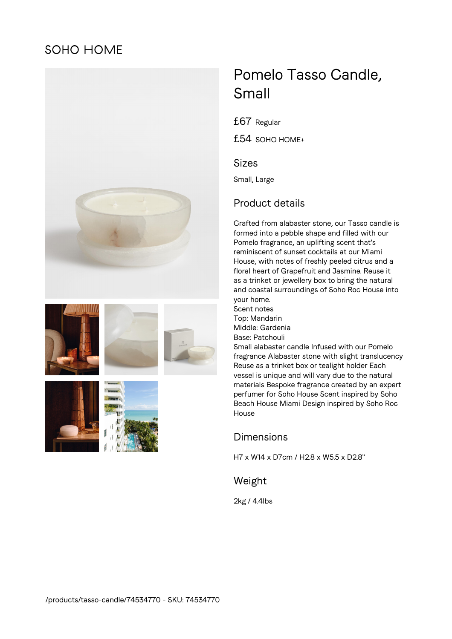## **SOHO HOME**











# Pomelo Tasso Candle, Small

£67 Regular

£54 SOHO HOME+

#### Sizes

Small, Large

## Product details

Crafted from alabaster stone, our Tasso candle is formed into a pebble shape and filled with our Pomelo fragrance, an uplifting scent that's reminiscent of sunset cocktails at our Miami House, with notes of freshly peeled citrus and a floral heart of Grapefruit and Jasmine. Reuse it as a trinket or jewellery box to bring the natural and coastal surroundings of Soho Roc House into your home. Scent notes

Top: Mandarin Middle: Gardenia Base: Patchouli Small alabaster candle Infused with our Pomelo fragrance Alabaster stone with slight translucency Reuse as a trinket box or tealight holder Each vessel is unique and will vary due to the natural materials Bespoke fragrance created by an expert perfumer for Soho House Scent inspired by Soho Beach House Miami Design inspired by Soho Roc House

#### Dimensions

H7 x W14 x D7cm / H2.8 x W5.5 x D2.8"

Weight

2kg / 4.4lbs